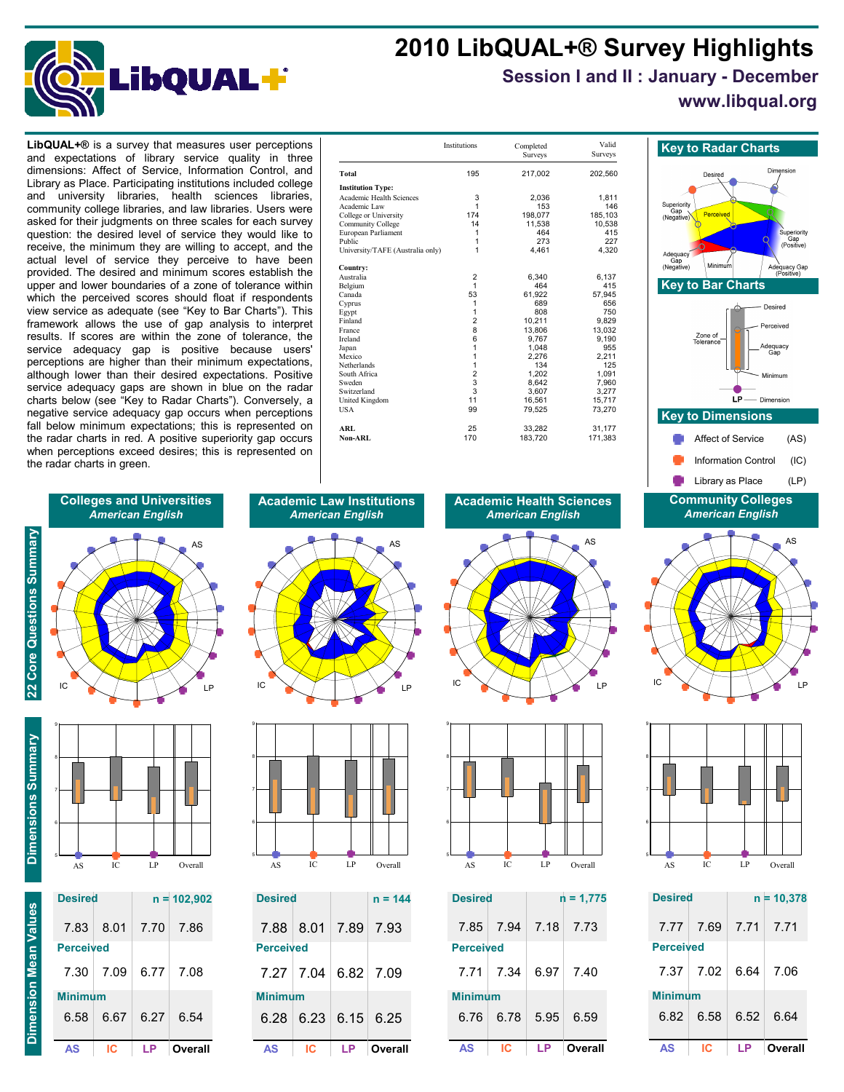# **2010 LibQUAL+® Survey Highlights**



**Session I and II : January - December**

## **www.libqual.org**

LibQUAL+® is a survey that measures user perceptions **Report Connect Completed** and Completed and C<sup>Valid</sup> **Key to Radar Charts** and expectations of library service quality in three dimensions: Affect of Service, Information Control, and Library as Place. Participating institutions included college and university libraries, health sciences libraries, community college libraries, and law libraries. Users were asked for their judgments on three scales for each survey question: the desired level of service they would like to receive, the minimum they are willing to accept, and the actual level of service they perceive to have been provided. The desired and minimum scores establish the upper and lower boundaries of a zone of tolerance within which the perceived scores should float if respondents view service as adequate (see "Key to Bar Charts"). This framework allows the use of gap analysis to interpret results. If scores are within the zone of tolerance, the service adequacy gap is positive because users' perceptions are higher than their minimum expectations, although lower than their desired expectations. Positive service adequacy gaps are shown in blue on the radar charts below (see "Key to Radar Charts"). Conversely, a negative service adequacy gap occurs when perceptions fall below minimum expectations; this is represented on the radar charts in red. A positive superiority gap occurs when perceptions exceed desires; this is represented on the radar charts in green.

|                                  | Institutions   | Completed<br><b>Surveys</b> | Valid<br><b>Surveys</b> |
|----------------------------------|----------------|-----------------------------|-------------------------|
| Total                            | 195            | 217,002                     | 202,560                 |
| <b>Institution Type:</b>         |                |                             |                         |
| Academic Health Sciences         | 3              | 2.036                       | 1.811                   |
| Academic Law                     | 1              | 153                         | 146                     |
| College or University            | 174            | 198.077                     | 185,103                 |
| Community College                | 14             | 11.538                      | 10,538                  |
| European Parliament              | 1              | 464                         | 415                     |
| Public                           | 1              | 273                         | 227                     |
| University/TAFE (Australia only) | 1              | 4,461                       | 4,320                   |
| Country:                         |                |                             |                         |
| Australia                        | $\overline{2}$ | 6.340                       | 6,137                   |
| Belgium                          | 1              | 464                         | 415                     |
| Canada                           | 53             | 61.922                      | 57,945                  |
| Cyprus                           | $\mathbf{1}$   | 689                         | 656                     |
| Egypt                            | 1              | 808                         | 750                     |
| Finland                          | $\overline{2}$ | 10,211                      | 9,829                   |
| France                           | 8              | 13,806                      | 13,032                  |
| Ireland                          | 6              | 9,767                       | 9,190                   |
| Japan                            | 1              | 1,048                       | 955                     |
| Mexico                           | 1              | 2,276                       | 2,211                   |
| Netherlands                      | 1              | 134                         | 125                     |
| South Africa                     | $\overline{2}$ | 1.202                       | 1,091                   |
| Sweden                           | 3              | 8.642                       | 7,960                   |
| Switzerland                      | 3              | 3,607                       | 3,277                   |
| <b>United Kingdom</b>            | 11             | 16,561                      | 15,717                  |
| <b>USA</b>                       | 99             | 79,525                      | 73,270                  |
| ARL                              | 25             | 33,282                      | 31,177                  |
| Non-ARL                          | 170            | 183,720                     | 171,383                 |







| <b>Desired</b>   |           |      | $n = 10.378$ |
|------------------|-----------|------|--------------|
|                  | 7.77 7.69 | 7.71 | 7.71         |
| <b>Perceived</b> |           |      |              |
| 7.37             | 7.02      | 6.64 | -7.06        |
| <b>Minimum</b>   |           |      |              |
| 6.82             | 6.58      | 6.52 | 6.64         |
| AS               | ıс        | ΙP   | Overall      |



**Colleges and Universities**



22 Core Questions Summary



AS IC LP Overall

IC  $\times$  / T \  $\times$  LP

| ΑS               | IC.  |      | Overa         |
|------------------|------|------|---------------|
| 6.58             | 6.67 | 6.27 | 6.54          |
| <b>Minimum</b>   |      |      |               |
| 7.30             | 7.09 | 6.77 | 7.08          |
| <b>Perceived</b> |      |      |               |
| 7.83             | 8.01 |      | 7.70 7.86     |
| <b>Desired</b>   |      |      | $n = 102,902$ |
|                  |      |      |               |

**Academic Law Institutions** *American English*





| <b>Desired</b>   |                                      | $n = 144$ |
|------------------|--------------------------------------|-----------|
|                  | 7.88 8.01 7.89 7.93                  |           |
| <b>Perceived</b> |                                      |           |
|                  | 7.27 7.04 6.82 7.09                  |           |
| <b>Minimum</b>   |                                      |           |
|                  | $6.28 \mid 6.23 \mid 6.15 \mid 6.25$ |           |
| AS               | IС                                   | Overall   |

*American English* AS

**Academic Health Sciences**



IC  $\chi$  / 1  $\chi$  LP

 $\sim$  5  $\sim$  8  $\sim$  1  $\sim$  1

| <b>Desired</b>   |      |      | $n = 1,775$ |
|------------------|------|------|-------------|
| 7.85             | 7.94 |      | 7.18 7.73   |
| <b>Perceived</b> |      |      |             |
| 7.71             | 7.34 | 6.97 | 7.40        |
| <b>Minimum</b>   |      |      |             |
| 6.76             | 6.78 | 5.95 | 6.59        |
| ΔS               | IC.  |      | Overall     |